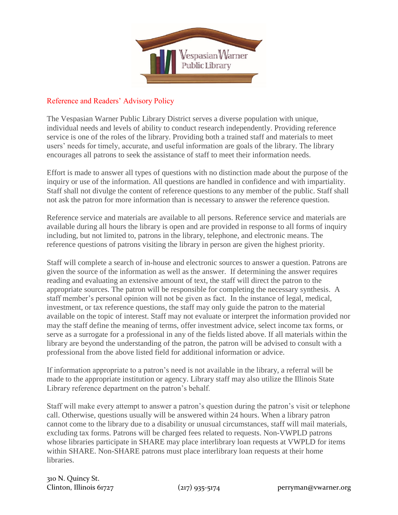

## Reference and Readers' Advisory Policy

The Vespasian Warner Public Library District serves a diverse population with unique, individual needs and levels of ability to conduct research independently. Providing reference service is one of the roles of the library. Providing both a trained staff and materials to meet users' needs for timely, accurate, and useful information are goals of the library. The library encourages all patrons to seek the assistance of staff to meet their information needs.

Effort is made to answer all types of questions with no distinction made about the purpose of the inquiry or use of the information. All questions are handled in confidence and with impartiality. Staff shall not divulge the content of reference questions to any member of the public. Staff shall not ask the patron for more information than is necessary to answer the reference question.

Reference service and materials are available to all persons. Reference service and materials are available during all hours the library is open and are provided in response to all forms of inquiry including, but not limited to, patrons in the library, telephone, and electronic means. The reference questions of patrons visiting the library in person are given the highest priority.

Staff will complete a search of in-house and electronic sources to answer a question. Patrons are given the source of the information as well as the answer. If determining the answer requires reading and evaluating an extensive amount of text, the staff will direct the patron to the appropriate sources. The patron will be responsible for completing the necessary synthesis. A staff member's personal opinion will not be given as fact. In the instance of legal, medical, investment, or tax reference questions, the staff may only guide the patron to the material available on the topic of interest. Staff may not evaluate or interpret the information provided nor may the staff define the meaning of terms, offer investment advice, select income tax forms, or serve as a surrogate for a professional in any of the fields listed above. If all materials within the library are beyond the understanding of the patron, the patron will be advised to consult with a professional from the above listed field for additional information or advice.

If information appropriate to a patron's need is not available in the library, a referral will be made to the appropriate institution or agency. Library staff may also utilize the Illinois State Library reference department on the patron's behalf.

Staff will make every attempt to answer a patron's question during the patron's visit or telephone call. Otherwise, questions usually will be answered within 24 hours. When a library patron cannot come to the library due to a disability or unusual circumstances, staff will mail materials, excluding tax forms. Patrons will be charged fees related to requests. Non-VWPLD patrons whose libraries participate in SHARE may place interlibrary loan requests at VWPLD for items within SHARE. Non-SHARE patrons must place interlibrary loan requests at their home libraries.